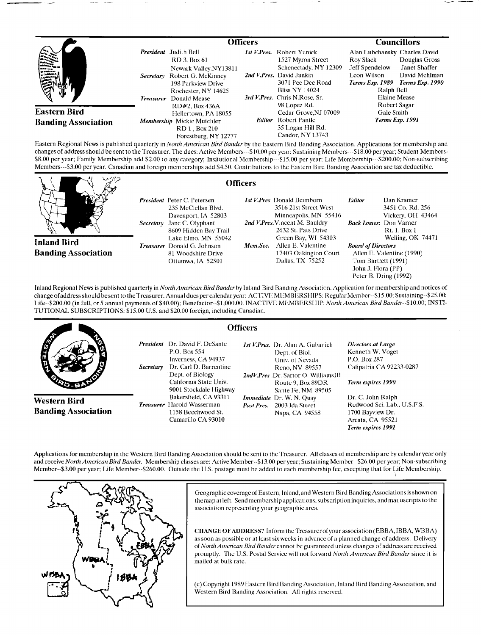|                                                       |                               | <b>Officers</b>                                                                                                                                          |  |                                                                                                                                                                                           | <b>Councillors</b>                                                                                                  |                                                                                           |
|-------------------------------------------------------|-------------------------------|----------------------------------------------------------------------------------------------------------------------------------------------------------|--|-------------------------------------------------------------------------------------------------------------------------------------------------------------------------------------------|---------------------------------------------------------------------------------------------------------------------|-------------------------------------------------------------------------------------------|
| 美人<br>.<br>a verkend<br><b>CARDINAL</b><br>EN 19<br>⊕ | Secretary<br><b>Treasurer</b> | <b>President</b> Judith Bell<br>RD 3, Box 61<br>Newark Valley.NY13811<br>Robert G. McKinney<br>198 Parkview Drive<br>Rochester, NY 14625<br>Donald Mease |  | <i>Ist V.Pres.</i> Robert Yunick<br>1527 Myron Street<br>Schenectady, NY 12309<br>2nd V.Pres. David Junkin<br>3071 Pee Dee Road<br><b>Bliss NY 14024</b><br>3rd V.Pres. Chris N.Rose. Sr. | Alan Lubchansky Charles David<br><b>Roy Slack</b><br>Jeff Spendelow<br>Leon Wilson<br>Terms Exp. 1989<br>Ralph Bell | Douglas Gross<br>Janet Shaffer<br>David Mehlman<br>Terms Exp. 1990<br><b>Elaine Mease</b> |
| <b>Eastern Bird</b><br><b>Banding Association</b>     |                               | RD#2. Box 436A<br>Hellertown, PA 18055<br>Membership Mickie Mutchler<br>RD 1. Box 210<br>Forestburg, NY 12777                                            |  | 98 Lopez Rd.<br>Cedar Grove, NJ 07009<br><b>Editor</b> Robert Pantle<br>35 Logan Hill Rd.<br>Candor, NY 13743                                                                             | Gale Smith                                                                                                          | Robert Sagar<br>Terms Exp. 1991                                                           |

**Eastern Regional News is published quarterly in North American Bird Bandcr by the Eastern Bird Banding Association. Applications for membership and**  changes of address should be sent to the Treasurer. The dues: Active Members---\$10.00 per year; Sustaining Members---\$18.00 per year; Student Members-\$8.00 per year; Family Membership add \$2.00 to any category; Insitutional Mcmbership---\$15.00 per year; Life Mcmbership---\$200.00; Non-subscribing **Members---S3.00 per year. Canadian and foreign memberships add \$4.50. Contributions to the Eastern Bird Banding Association are tax deductible.** 



Inland Regional News is published quarterly in North American Bird Bandcr by Inland Bird Banding Association. Application for membership and notices of change of address should be sent to the Treasurer. Annual dues per calendar year: ACTIVI: MUMBI:RSHIPS: Regular Member--\$15.00; Sustaining--\$25.00; Life--\$200.00 (in full, or 5 annual payments of \$40.00); Benefactor--\$1,000.00. INACTIVE MEMBERSHIP: North American Bird Bander--\$10.00; INSTI-**TUTIONAL SUBSCRIPTIONS: \$15.00 U.S. and \$20.00 foreign, including Canadian.** 

|                                            |                  | <b>Officers</b>                                                                                                                                                                                         |                                                                                                                                                                                                                     |                                                                                                                              |
|--------------------------------------------|------------------|---------------------------------------------------------------------------------------------------------------------------------------------------------------------------------------------------------|---------------------------------------------------------------------------------------------------------------------------------------------------------------------------------------------------------------------|------------------------------------------------------------------------------------------------------------------------------|
| <b>AND</b><br>6<br>Y6 - 81                 | <b>Secretary</b> | <b>President</b> Dr. David F. DeSante<br>P.O. Box 554<br>Inverness, CA 94937<br>Dr. Carl D. Barrentine<br>Dept. of Biology<br>California State Univ.<br>9001 Stockdale Highway<br>Bakersfield, CA 93311 | <i>Ist V.Pres.</i> Dr. Alan A. Gubanich<br>Dept. of Biol.<br>Univ. of Nevada<br>Reno, NV 89557<br>2ndV.Pres.Dr. Sartor O. WilliamsIII<br>Route 9. Box 89DR<br>Sante Fe, NM 89505<br><i>Immediate</i> Dr. W. N. Quay | Directors at Large<br>Kenneth W. Voget<br>P.O. Box 287<br>Calipatria CA 92233-0287<br>Term expires 1990<br>Dr. C. John Ralph |
| Western Bird<br><b>Banding Association</b> |                  | <b>Treasurer</b> Harold Wasserman<br>1158 Beechwood St.<br>Camarillo CA 93010                                                                                                                           | Past Pres. 2003 Ida Street<br>Napa, CA 94558                                                                                                                                                                        | Redwood Sci. Lab., U.S.F.S.<br>1700 Bayview Dr.<br>Arcata, CA 95521<br><b>Term expires 1991</b>                              |

**Applications for membership in the Western Bird Banding Association should bc sent to the Treasurer. All classes of membership are by calendar year only**  and receive North American Bird Bander. Membership classes are: Active Member--\$13.00 per year; Sustaining Member--\$26.00 per year; Non-subscribing Member--\$3.00 per year; Life Member--\$260.00. Outside the U.S. postage must be added to each membership fee, excepting that for Life Membership.



Geographic coverage of Eastern, Inland, and Western Bird Banding Associations is shown on **the map at left. Send membership applications, subscription inquiries, and manuscripts to the association representing your geographic area.** 

**CIIANGEOF ADDRESS? Inform the Treasurer of your association (EBBA, IBBA, WBIIA)**  as soon as possible or at least six weeks in advance of a planned change of address. Delivery of North American Bird Bander cannot be guaranteed unless changes of address are received promptly. The U.S. Postal Service will not forward North American Bird Bander since it is **mailed at bulk rate.** 

**(c) Copyright 1989 Eastern Bird Banding Association, Inland Bird Banding Association, and Western Bird Banding Association. All rights reserved.**